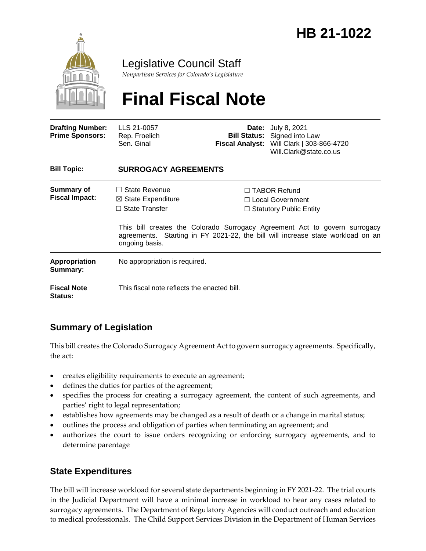

# Legislative Council Staff

*Nonpartisan Services for Colorado's Legislature*

# **Final Fiscal Note**

| <b>Drafting Number:</b><br><b>Prime Sponsors:</b> | LLS 21-0057<br>Rep. Froelich<br>Sen. Ginal                                                       |  | <b>Date:</b> July 8, 2021<br><b>Bill Status:</b> Signed into Law<br>Fiscal Analyst: Will Clark   303-866-4720<br>Will.Clark@state.co.us                                                                                                      |
|---------------------------------------------------|--------------------------------------------------------------------------------------------------|--|----------------------------------------------------------------------------------------------------------------------------------------------------------------------------------------------------------------------------------------------|
| <b>Bill Topic:</b>                                | <b>SURROGACY AGREEMENTS</b>                                                                      |  |                                                                                                                                                                                                                                              |
| Summary of<br><b>Fiscal Impact:</b>               | $\Box$ State Revenue<br>$\boxtimes$ State Expenditure<br>$\Box$ State Transfer<br>ongoing basis. |  | $\Box$ TABOR Refund<br>□ Local Government<br>$\Box$ Statutory Public Entity<br>This bill creates the Colorado Surrogacy Agreement Act to govern surrogacy<br>agreements. Starting in FY 2021-22, the bill will increase state workload on an |
| <b>Appropriation</b><br>Summary:                  | No appropriation is required.                                                                    |  |                                                                                                                                                                                                                                              |
| <b>Fiscal Note</b><br><b>Status:</b>              | This fiscal note reflects the enacted bill.                                                      |  |                                                                                                                                                                                                                                              |

## **Summary of Legislation**

This bill creates the Colorado Surrogacy Agreement Act to govern surrogacy agreements. Specifically, the act:

- creates eligibility requirements to execute an agreement;
- defines the duties for parties of the agreement;
- specifies the process for creating a surrogacy agreement, the content of such agreements, and parties' right to legal representation;
- establishes how agreements may be changed as a result of death or a change in marital status;
- outlines the process and obligation of parties when terminating an agreement; and
- authorizes the court to issue orders recognizing or enforcing surrogacy agreements, and to determine parentage

### **State Expenditures**

The bill will increase workload for several state departments beginning in FY 2021-22. The trial courts in the Judicial Department will have a minimal increase in workload to hear any cases related to surrogacy agreements. The Department of Regulatory Agencies will conduct outreach and education to medical professionals. The Child Support Services Division in the Department of Human Services